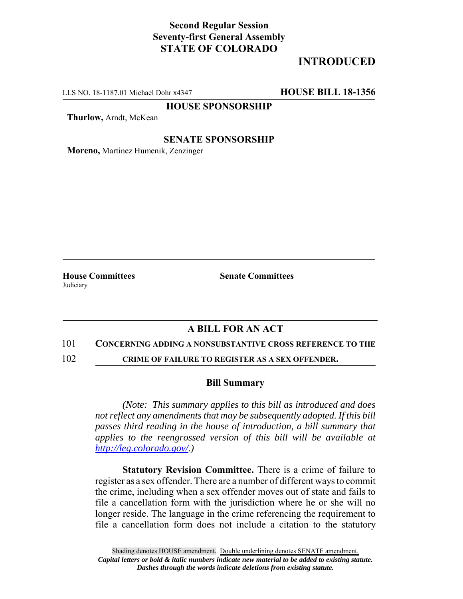## **Second Regular Session Seventy-first General Assembly STATE OF COLORADO**

# **INTRODUCED**

LLS NO. 18-1187.01 Michael Dohr x4347 **HOUSE BILL 18-1356**

**HOUSE SPONSORSHIP**

**Thurlow,** Arndt, McKean

### **SENATE SPONSORSHIP**

**Moreno,** Martinez Humenik, Zenzinger

**Judiciary** 

**House Committees Senate Committees** 

## **A BILL FOR AN ACT**

#### 101 **CONCERNING ADDING A NONSUBSTANTIVE CROSS REFERENCE TO THE**

102 **CRIME OF FAILURE TO REGISTER AS A SEX OFFENDER.**

#### **Bill Summary**

*(Note: This summary applies to this bill as introduced and does not reflect any amendments that may be subsequently adopted. If this bill passes third reading in the house of introduction, a bill summary that applies to the reengrossed version of this bill will be available at http://leg.colorado.gov/.)*

**Statutory Revision Committee.** There is a crime of failure to register as a sex offender. There are a number of different ways to commit the crime, including when a sex offender moves out of state and fails to file a cancellation form with the jurisdiction where he or she will no longer reside. The language in the crime referencing the requirement to file a cancellation form does not include a citation to the statutory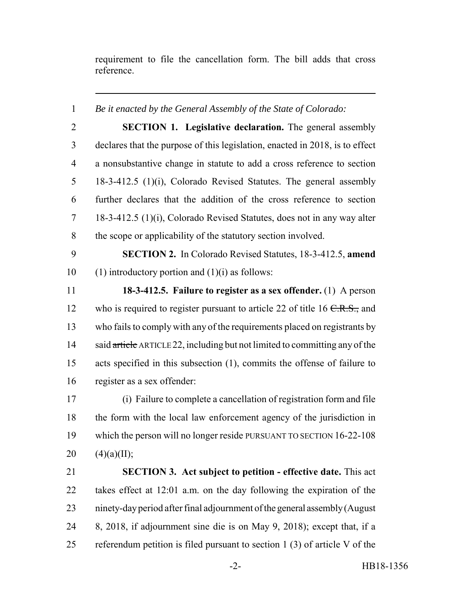requirement to file the cancellation form. The bill adds that cross reference.

*Be it enacted by the General Assembly of the State of Colorado:*

 **SECTION 1. Legislative declaration.** The general assembly declares that the purpose of this legislation, enacted in 2018, is to effect a nonsubstantive change in statute to add a cross reference to section 18-3-412.5 (1)(i), Colorado Revised Statutes. The general assembly further declares that the addition of the cross reference to section 18-3-412.5 (1)(i), Colorado Revised Statutes, does not in any way alter the scope or applicability of the statutory section involved.

 **SECTION 2.** In Colorado Revised Statutes, 18-3-412.5, **amend** 10 (1) introductory portion and  $(1)(i)$  as follows:

 **18-3-412.5. Failure to register as a sex offender.** (1) A person 12 who is required to register pursuant to article 22 of title 16  $C.R.S.,$  and who fails to comply with any of the requirements placed on registrants by 14 said article ARTICLE 22, including but not limited to committing any of the acts specified in this subsection (1), commits the offense of failure to register as a sex offender:

 (i) Failure to complete a cancellation of registration form and file the form with the local law enforcement agency of the jurisdiction in which the person will no longer reside PURSUANT TO SECTION 16-22-108  $(4)(a)(II);$ 

 **SECTION 3. Act subject to petition - effective date.** This act takes effect at 12:01 a.m. on the day following the expiration of the ninety-day period after final adjournment of the general assembly (August 8, 2018, if adjournment sine die is on May 9, 2018); except that, if a referendum petition is filed pursuant to section 1 (3) of article V of the